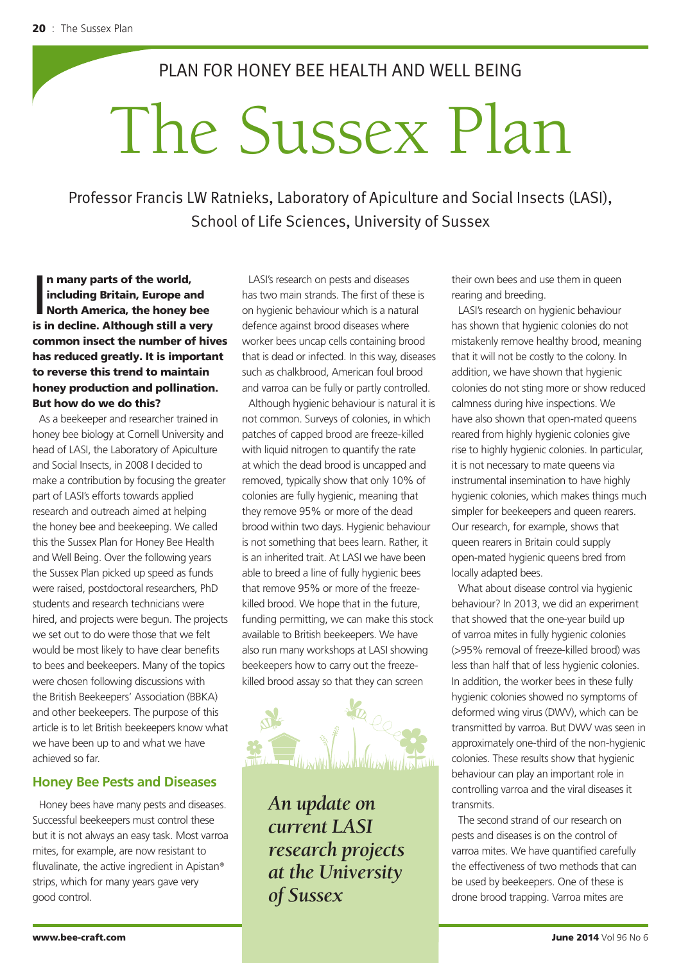PLAN FOR HONEY BEE HEALTH AND WELL BEING

# The Sussex Plan

Professor Francis LW Ratnieks, Laboratory of Apiculture and Social Insects (LASI), School of Life Sciences, University of Sussex

In many parts of the world,<br>including Britain, Europe and<br>North America, the honey bee<br>is in decline. Although still a very n many parts of the world, including Britain, Europe and North America, the honey bee common insect the number of hives has reduced greatly. It is important to reverse this trend to maintain honey production and pollination. But how do we do this?

As a beekeeper and researcher trained in honey bee biology at Cornell University and head of LASI, the Laboratory of Apiculture and Social Insects, in 2008 I decided to make a contribution by focusing the greater part of LASI's efforts towards applied research and outreach aimed at helping the honey bee and beekeeping. We called this the Sussex Plan for Honey Bee Health and Well Being. Over the following years the Sussex Plan picked up speed as funds were raised, postdoctoral researchers, PhD students and research technicians were hired, and projects were begun. The projects we set out to do were those that we felt would be most likely to have clear benefits to bees and beekeepers. Many of the topics were chosen following discussions with the British Beekeepers' Association (BBKA) and other beekeepers. The purpose of this article is to let British beekeepers know what we have been up to and what we have achieved so far.

# **Honey Bee Pests and Diseases**

Honey bees have many pests and diseases. Successful beekeepers must control these but it is not always an easy task. Most varroa mites, for example, are now resistant to fluvalinate, the active ingredient in Apistan® strips, which for many years gave very good control.

LASI's research on pests and diseases has two main strands. The first of these is on hygienic behaviour which is a natural defence against brood diseases where worker bees uncap cells containing brood that is dead or infected. In this way, diseases such as chalkbrood, American foul brood and varroa can be fully or partly controlled.

Although hygienic behaviour is natural it is not common. Surveys of colonies, in which patches of capped brood are freeze-killed with liquid nitrogen to quantify the rate at which the dead brood is uncapped and removed, typically show that only 10% of colonies are fully hygienic, meaning that they remove 95% or more of the dead brood within two days. Hygienic behaviour is not something that bees learn. Rather, it is an inherited trait. At LASI we have been able to breed a line of fully hygienic bees that remove 95% or more of the freezekilled brood. We hope that in the future, funding permitting, we can make this stock available to British beekeepers. We have also run many workshops at LASI showing beekeepers how to carry out the freezekilled brood assay so that they can screen



*An update on current LASI research projects at the University of Sussex*

their own bees and use them in queen rearing and breeding.

LASI's research on hygienic behaviour has shown that hygienic colonies do not mistakenly remove healthy brood, meaning that it will not be costly to the colony. In addition, we have shown that hygienic colonies do not sting more or show reduced calmness during hive inspections. We have also shown that open-mated queens reared from highly hygienic colonies give rise to highly hygienic colonies. In particular, it is not necessary to mate queens via instrumental insemination to have highly hygienic colonies, which makes things much simpler for beekeepers and queen rearers. Our research, for example, shows that queen rearers in Britain could supply open-mated hygienic queens bred from locally adapted bees.

What about disease control via hygienic behaviour? In 2013, we did an experiment that showed that the one-year build up of varroa mites in fully hygienic colonies (>95% removal of freeze-killed brood) was less than half that of less hygienic colonies. In addition, the worker bees in these fully hygienic colonies showed no symptoms of deformed wing virus (DWV), which can be transmitted by varroa. But DWV was seen in approximately one-third of the non-hygienic colonies. These results show that hygienic behaviour can play an important role in controlling varroa and the viral diseases it transmits.

The second strand of our research on pests and diseases is on the control of varroa mites. We have quantified carefully the effectiveness of two methods that can be used by beekeepers. One of these is drone brood trapping. Varroa mites are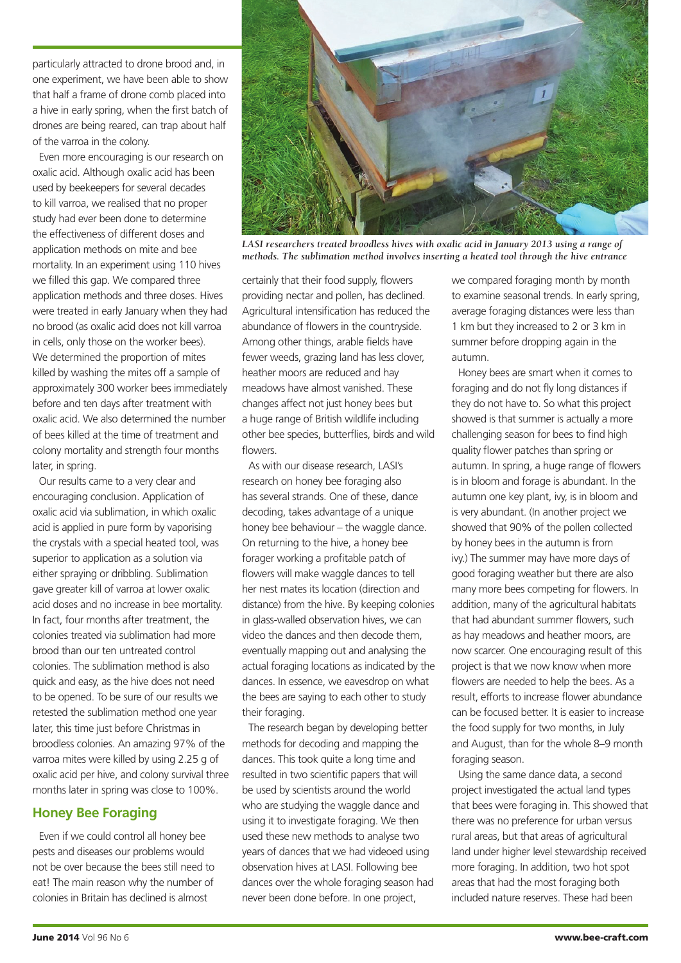particularly attracted to drone brood and, in one experiment, we have been able to show that half a frame of drone comb placed into a hive in early spring, when the first batch of drones are being reared, can trap about half of the varroa in the colony.

Even more encouraging is our research on oxalic acid. Although oxalic acid has been used by beekeepers for several decades to kill varroa, we realised that no proper study had ever been done to determine the effectiveness of different doses and application methods on mite and bee mortality. In an experiment using 110 hives we filled this gap. We compared three application methods and three doses. Hives were treated in early January when they had no brood (as oxalic acid does not kill varroa in cells, only those on the worker bees). We determined the proportion of mites killed by washing the mites off a sample of approximately 300 worker bees immediately before and ten days after treatment with oxalic acid. We also determined the number of bees killed at the time of treatment and colony mortality and strength four months later, in spring.

Our results came to a very clear and encouraging conclusion. Application of oxalic acid via sublimation, in which oxalic acid is applied in pure form by vaporising the crystals with a special heated tool, was superior to application as a solution via either spraying or dribbling. Sublimation gave greater kill of varroa at lower oxalic acid doses and no increase in bee mortality. In fact, four months after treatment, the colonies treated via sublimation had more brood than our ten untreated control colonies. The sublimation method is also quick and easy, as the hive does not need to be opened. To be sure of our results we retested the sublimation method one year later, this time just before Christmas in broodless colonies. An amazing 97% of the varroa mites were killed by using 2.25 g of oxalic acid per hive, and colony survival three months later in spring was close to 100%.

# **Honey Bee Foraging**

Even if we could control all honey bee pests and diseases our problems would not be over because the bees still need to eat! The main reason why the number of colonies in Britain has declined is almost



*LASI researchers treated broodless hives with oxalic acid in January 2013 using a range of methods. The sublimation method involves inserting a heated tool through the hive entrance*

certainly that their food supply, flowers providing nectar and pollen, has declined. Agricultural intensification has reduced the abundance of flowers in the countryside. Among other things, arable fields have fewer weeds, grazing land has less clover, heather moors are reduced and hay meadows have almost vanished. These changes affect not just honey bees but a huge range of British wildlife including other bee species, butterflies, birds and wild flowers.

As with our disease research, LASI's research on honey bee foraging also has several strands. One of these, dance decoding, takes advantage of a unique honey bee behaviour – the waggle dance. On returning to the hive, a honey bee forager working a profitable patch of flowers will make waggle dances to tell her nest mates its location (direction and distance) from the hive. By keeping colonies in glass-walled observation hives, we can video the dances and then decode them, eventually mapping out and analysing the actual foraging locations as indicated by the dances. In essence, we eavesdrop on what the bees are saying to each other to study their foraging.

The research began by developing better methods for decoding and mapping the dances. This took quite a long time and resulted in two scientific papers that will be used by scientists around the world who are studying the waggle dance and using it to investigate foraging. We then used these new methods to analyse two years of dances that we had videoed using observation hives at LASI. Following bee dances over the whole foraging season had never been done before. In one project,

we compared foraging month by month to examine seasonal trends. In early spring, average foraging distances were less than 1 km but they increased to 2 or 3 km in summer before dropping again in the autumn.

Honey bees are smart when it comes to foraging and do not fly long distances if they do not have to. So what this project showed is that summer is actually a more challenging season for bees to find high quality flower patches than spring or autumn. In spring, a huge range of flowers is in bloom and forage is abundant. In the autumn one key plant, ivy, is in bloom and is very abundant. (In another project we showed that 90% of the pollen collected by honey bees in the autumn is from ivy.) The summer may have more days of good foraging weather but there are also many more bees competing for flowers. In addition, many of the agricultural habitats that had abundant summer flowers, such as hay meadows and heather moors, are now scarcer. One encouraging result of this project is that we now know when more flowers are needed to help the bees. As a result, efforts to increase flower abundance can be focused better. It is easier to increase the food supply for two months, in July and August, than for the whole 8–9 month foraging season.

Using the same dance data, a second project investigated the actual land types that bees were foraging in. This showed that there was no preference for urban versus rural areas, but that areas of agricultural land under higher level stewardship received more foraging. In addition, two hot spot areas that had the most foraging both included nature reserves. These had been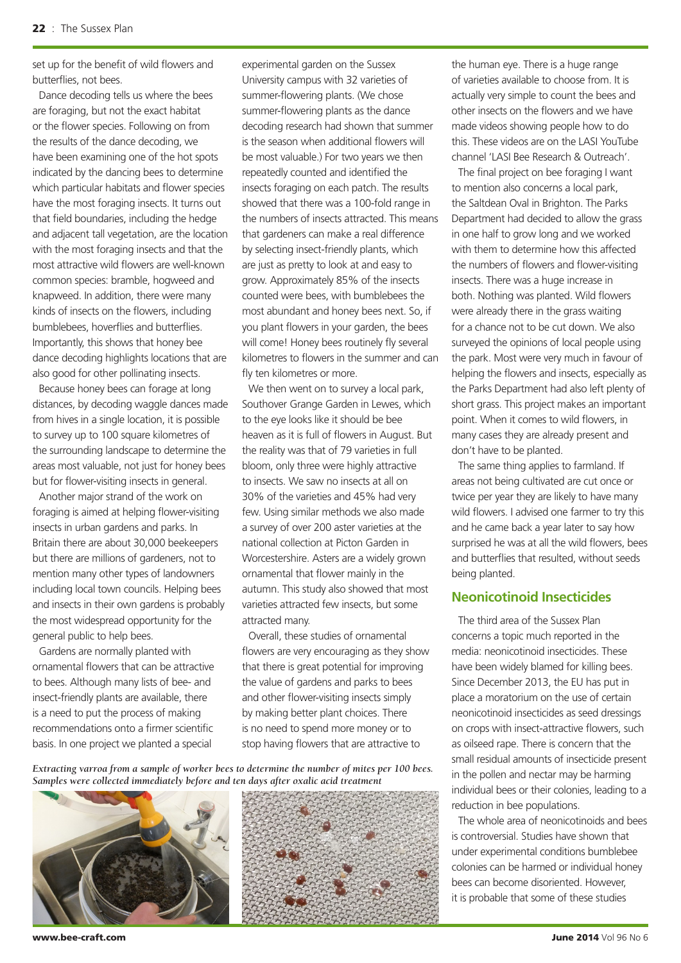set up for the benefit of wild flowers and butterflies, not bees.

Dance decoding tells us where the bees are foraging, but not the exact habitat or the flower species. Following on from the results of the dance decoding, we have been examining one of the hot spots indicated by the dancing bees to determine which particular habitats and flower species have the most foraging insects. It turns out that field boundaries, including the hedge and adjacent tall vegetation, are the location with the most foraging insects and that the most attractive wild flowers are well-known common species: bramble, hogweed and knapweed. In addition, there were many kinds of insects on the flowers, including bumblebees, hoverflies and butterflies. Importantly, this shows that honey bee dance decoding highlights locations that are also good for other pollinating insects.

Because honey bees can forage at long distances, by decoding waggle dances made from hives in a single location, it is possible to survey up to 100 square kilometres of the surrounding landscape to determine the areas most valuable, not just for honey bees but for flower-visiting insects in general.

Another major strand of the work on foraging is aimed at helping flower-visiting insects in urban gardens and parks. In Britain there are about 30,000 beekeepers but there are millions of gardeners, not to mention many other types of landowners including local town councils. Helping bees and insects in their own gardens is probably the most widespread opportunity for the general public to help bees.

Gardens are normally planted with ornamental flowers that can be attractive to bees. Although many lists of bee- and insect-friendly plants are available, there is a need to put the process of making recommendations onto a firmer scientific basis. In one project we planted a special

experimental garden on the Sussex University campus with 32 varieties of summer-flowering plants. (We chose summer-flowering plants as the dance decoding research had shown that summer is the season when additional flowers will be most valuable.) For two years we then repeatedly counted and identified the insects foraging on each patch. The results showed that there was a 100-fold range in the numbers of insects attracted. This means that gardeners can make a real difference by selecting insect-friendly plants, which are just as pretty to look at and easy to grow. Approximately 85% of the insects counted were bees, with bumblebees the most abundant and honey bees next. So, if you plant flowers in your garden, the bees will come! Honey bees routinely fly several kilometres to flowers in the summer and can fly ten kilometres or more.

We then went on to survey a local park, Southover Grange Garden in Lewes, which to the eye looks like it should be bee heaven as it is full of flowers in August. But the reality was that of 79 varieties in full bloom, only three were highly attractive to insects. We saw no insects at all on 30% of the varieties and 45% had very few. Using similar methods we also made a survey of over 200 aster varieties at the national collection at Picton Garden in Worcestershire. Asters are a widely grown ornamental that flower mainly in the autumn. This study also showed that most varieties attracted few insects, but some attracted many.

Overall, these studies of ornamental flowers are very encouraging as they show that there is great potential for improving the value of gardens and parks to bees and other flower-visiting insects simply by making better plant choices. There is no need to spend more money or to stop having flowers that are attractive to

*Extracting varroa from a sample of worker bees to determine the number of mites per 100 bees. Samples were collected immediately before and ten days after oxalic acid treatment*





the human eye. There is a huge range of varieties available to choose from. It is actually very simple to count the bees and other insects on the flowers and we have made videos showing people how to do this. These videos are on the LASI YouTube channel 'LASI Bee Research & Outreach'.

The final project on bee foraging I want to mention also concerns a local park, the Saltdean Oval in Brighton. The Parks Department had decided to allow the grass in one half to grow long and we worked with them to determine how this affected the numbers of flowers and flower-visiting insects. There was a huge increase in both. Nothing was planted. Wild flowers were already there in the grass waiting for a chance not to be cut down. We also surveyed the opinions of local people using the park. Most were very much in favour of helping the flowers and insects, especially as the Parks Department had also left plenty of short grass. This project makes an important point. When it comes to wild flowers, in many cases they are already present and don't have to be planted.

The same thing applies to farmland. If areas not being cultivated are cut once or twice per year they are likely to have many wild flowers. I advised one farmer to try this and he came back a year later to say how surprised he was at all the wild flowers, bees and butterflies that resulted, without seeds being planted.

# **Neonicotinoid Insecticides**

The third area of the Sussex Plan concerns a topic much reported in the media: neonicotinoid insecticides. These have been widely blamed for killing bees. Since December 2013, the EU has put in place a moratorium on the use of certain neonicotinoid insecticides as seed dressings on crops with insect-attractive flowers, such as oilseed rape. There is concern that the small residual amounts of insecticide present in the pollen and nectar may be harming individual bees or their colonies, leading to a reduction in bee populations.

The whole area of neonicotinoids and bees is controversial. Studies have shown that under experimental conditions bumblebee colonies can be harmed or individual honey bees can become disoriented. However, it is probable that some of these studies